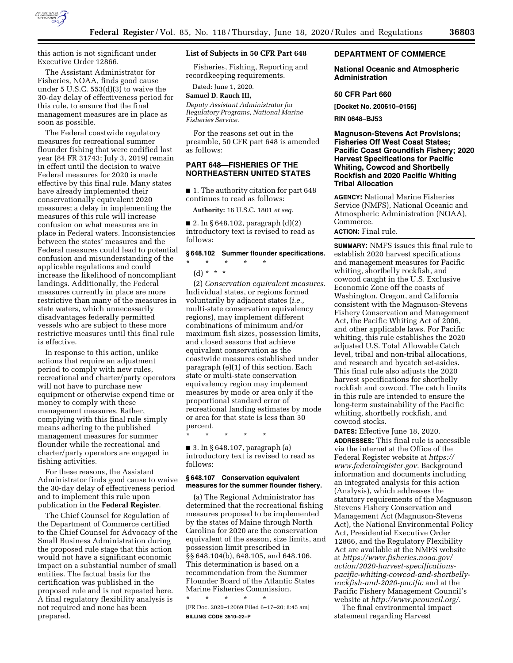

this action is not significant under Executive Order 12866.

The Assistant Administrator for Fisheries, NOAA, finds good cause under 5 U.S.C. 553(d)(3) to waive the 30-day delay of effectiveness period for this rule, to ensure that the final management measures are in place as soon as possible.

The Federal coastwide regulatory measures for recreational summer flounder fishing that were codified last year (84 FR 31743; July 3, 2019) remain in effect until the decision to waive Federal measures for 2020 is made effective by this final rule. Many states have already implemented their conservationally equivalent 2020 measures; a delay in implementing the measures of this rule will increase confusion on what measures are in place in Federal waters. Inconsistencies between the states' measures and the Federal measures could lead to potential confusion and misunderstanding of the applicable regulations and could increase the likelihood of noncompliant landings. Additionally, the Federal measures currently in place are more restrictive than many of the measures in state waters, which unnecessarily disadvantages federally permitted vessels who are subject to these more restrictive measures until this final rule is effective.

In response to this action, unlike actions that require an adjustment period to comply with new rules, recreational and charter/party operators will not have to purchase new equipment or otherwise expend time or money to comply with these management measures. Rather, complying with this final rule simply means adhering to the published management measures for summer flounder while the recreational and charter/party operators are engaged in fishing activities.

For these reasons, the Assistant Administrator finds good cause to waive the 30-day delay of effectiveness period and to implement this rule upon publication in the **Federal Register**.

The Chief Counsel for Regulation of the Department of Commerce certified to the Chief Counsel for Advocacy of the Small Business Administration during the proposed rule stage that this action would not have a significant economic impact on a substantial number of small entities. The factual basis for the certification was published in the proposed rule and is not repeated here. A final regulatory flexibility analysis is not required and none has been prepared.

#### **List of Subjects in 50 CFR Part 648**

Fisheries, Fishing, Reporting and recordkeeping requirements.

Dated: June 1, 2020.

# **Samuel D. Rauch III,**

*Deputy Assistant Administrator for Regulatory Programs, National Marine Fisheries Service.* 

For the reasons set out in the preamble, 50 CFR part 648 is amended as follows:

## **PART 648—FISHERIES OF THE NORTHEASTERN UNITED STATES**

■ 1. The authority citation for part 648 continues to read as follows:

**Authority:** 16 U.S.C. 1801 *et seq.* 

 $\blacksquare$  2. In § 648.102, paragraph  $(d)(2)$ introductory text is revised to read as follows:

#### **§ 648.102 Summer flounder specifications.**

\* \* \* \* \*

(d) \* \* \*

(2) *Conservation equivalent measures.*  Individual states, or regions formed voluntarily by adjacent states (*i.e.,*  multi-state conservation equivalency regions), may implement different combinations of minimum and/or maximum fish sizes, possession limits, and closed seasons that achieve equivalent conservation as the coastwide measures established under paragraph (e)(1) of this section. Each state or multi-state conservation equivalency region may implement measures by mode or area only if the proportional standard error of recreational landing estimates by mode or area for that state is less than 30 percent.

\* \* \* \* \*

■ 3. In § 648.107, paragraph (a) introductory text is revised to read as follows:

#### **§ 648.107 Conservation equivalent measures for the summer flounder fishery.**

(a) The Regional Administrator has determined that the recreational fishing measures proposed to be implemented by the states of Maine through North Carolina for 2020 are the conservation equivalent of the season, size limits, and possession limit prescribed in §§ 648.104(b), 648.105, and 648.106. This determination is based on a recommendation from the Summer Flounder Board of the Atlantic States Marine Fisheries Commission.

\* \* \* \* \* [FR Doc. 2020–12069 Filed 6–17–20; 8:45 am] **BILLING CODE 3510–22–P** 

## **DEPARTMENT OF COMMERCE**

#### **National Oceanic and Atmospheric Administration**

#### **50 CFR Part 660**

**[Docket No. 200610–0156]** 

**RIN 0648–BJ53** 

## **Magnuson-Stevens Act Provisions; Fisheries Off West Coast States; Pacific Coast Groundfish Fishery; 2020 Harvest Specifications for Pacific Whiting, Cowcod and Shortbelly Rockfish and 2020 Pacific Whiting Tribal Allocation**

**AGENCY:** National Marine Fisheries Service (NMFS), National Oceanic and Atmospheric Administration (NOAA), Commerce.

#### **ACTION:** Final rule.

**SUMMARY:** NMFS issues this final rule to establish 2020 harvest specifications and management measures for Pacific whiting, shortbelly rockfish, and cowcod caught in the U.S. Exclusive Economic Zone off the coasts of Washington, Oregon, and California consistent with the Magnuson-Stevens Fishery Conservation and Management Act, the Pacific Whiting Act of 2006, and other applicable laws. For Pacific whiting, this rule establishes the 2020 adjusted U.S. Total Allowable Catch level, tribal and non-tribal allocations, and research and bycatch set-asides. This final rule also adjusts the 2020 harvest specifications for shortbelly rockfish and cowcod. The catch limits in this rule are intended to ensure the long-term sustainability of the Pacific whiting, shortbelly rockfish, and cowcod stocks.

**DATES:** Effective June 18, 2020. **ADDRESSES:** This final rule is accessible via the internet at the Office of the Federal Register website at *[https://](https://www.federalregister.gov) [www.federalregister.gov.](https://www.federalregister.gov)* Background information and documents including an integrated analysis for this action (Analysis), which addresses the statutory requirements of the Magnuson Stevens Fishery Conservation and Management Act (Magnuson-Stevens Act), the National Environmental Policy Act, Presidential Executive Order 12866, and the Regulatory Flexibility Act are available at the NMFS website at *[https://www.fisheries.noaa.gov/](https://www.fisheries.noaa.gov/action/2020-harvest-specifications-pacific-whiting-cowcod-and-shortbelly-rockfish-and-2020-pacific)  action/2020-harvest-specifications[pacific-whiting-cowcod-and-shortbelly](https://www.fisheries.noaa.gov/action/2020-harvest-specifications-pacific-whiting-cowcod-and-shortbelly-rockfish-and-2020-pacific)[rockfish-and-2020-pacific](https://www.fisheries.noaa.gov/action/2020-harvest-specifications-pacific-whiting-cowcod-and-shortbelly-rockfish-and-2020-pacific)* and at the Pacific Fishery Management Council's website at *[http://www.pcouncil.org/.](http://www.pcouncil.org/)* 

The final environmental impact statement regarding Harvest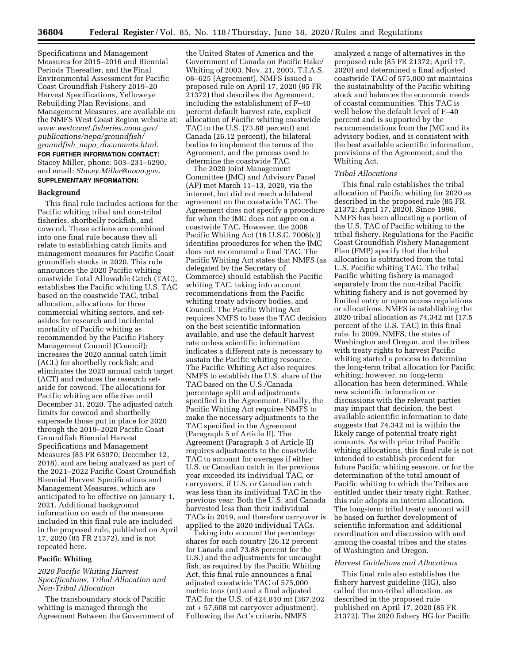Specifications and Management Measures for 2015–2016 and Biennial Periods Thereafter, and the Final Environmental Assessment for Pacific Coast Groundfish Fishery 2019–20 Harvest Specifications, Yelloweye Rebuilding Plan Revisions, and Management Measures, are available on the NMFS West Coast Region website at: *[www.westcoast.fisheries.noaa.gov/](http://www.westcoast.fisheries.noaa.gov/publications/nepa/groundfish/groundfish_nepa_documents.html) [publications/nepa/groundfish/](http://www.westcoast.fisheries.noaa.gov/publications/nepa/groundfish/groundfish_nepa_documents.html) groundfish*\_*nepa*\_*[documents.html.](http://www.westcoast.fisheries.noaa.gov/publications/nepa/groundfish/groundfish_nepa_documents.html)*  **FOR FURTHER INFORMATION CONTACT:**  Stacey Miller, phone: 503–231–6290, and email: *[Stacey.Miller@noaa.gov.](mailto:Stacey.Miller@noaa.gov)*  **SUPPLEMENTARY INFORMATION:** 

#### **Background**

This final rule includes actions for the Pacific whiting tribal and non-tribal fisheries, shortbelly rockfish, and cowcod. These actions are combined into one final rule because they all relate to establishing catch limits and management measures for Pacific Coast groundfish stocks in 2020. This rule announces the 2020 Pacific whiting coastwide Total Allowable Catch (TAC), establishes the Pacific whiting U.S. TAC based on the coastwide TAC, tribal allocation, allocations for three commercial whiting sectors, and setasides for research and incidental mortality of Pacific whiting as recommended by the Pacific Fishery Management Council (Council); increases the 2020 annual catch limit (ACL) for shortbelly rockfish; and eliminates the 2020 annual catch target (ACT) and reduces the research setaside for cowcod. The allocations for Pacific whiting are effective until December 31, 2020. The adjusted catch limits for cowcod and shortbelly supersede those put in place for 2020 through the 2019–2020 Pacific Coast Groundfish Biennial Harvest Specifications and Management Measures (83 FR 63970; December 12, 2018), and are being analyzed as part of the 2021–2022 Pacific Coast Groundfish Biennial Harvest Specifications and Management Measures, which are anticipated to be effective on January 1, 2021. Additional background information on each of the measures included in this final rule are included in the proposed rule, published on April 17, 2020 (85 FR 21372), and is not repeated here.

### **Pacific Whiting**

## *2020 Pacific Whiting Harvest Specifications, Tribal Allocation and Non-Tribal Allocation*

The transboundary stock of Pacific whiting is managed through the Agreement Between the Government of the United States of America and the Government of Canada on Pacific Hake/ Whiting of 2003, Nov. 21, 2003, T.I.A.S. 08–625 (Agreement). NMFS issued a proposed rule on April 17, 2020 (85 FR 21372) that describes the Agreement, including the establishment of F–40 percent default harvest rate, explicit allocation of Pacific whiting coastwide TAC to the U.S. (73.88 percent) and Canada (26.12 percent), the bilateral bodies to implement the terms of the Agreement, and the process used to determine the coastwide TAC.

The 2020 Joint Management Committee (JMC) and Advisory Panel (AP) met March 11–13, 2020, via the internet, but did not reach a bilateral agreement on the coastwide TAC. The Agreement does not specify a procedure for when the JMC does not agree on a coastwide TAC. However, the 2006 Pacific Whiting Act (16 U.S.C. 7006(c)) identifies procedures for when the JMC does not recommend a final TAC. The Pacific Whiting Act states that NMFS (as delegated by the Secretary of Commerce) should establish the Pacific whiting TAC, taking into account recommendations from the Pacific whiting treaty advisory bodies, and Council. The Pacific Whiting Act requires NMFS to base the TAC decision on the best scientific information available, and use the default harvest rate unless scientific information indicates a different rate is necessary to sustain the Pacific whiting resource. The Pacific Whiting Act also requires NMFS to establish the U.S. share of the TAC based on the U.S./Canada percentage split and adjustments specified in the Agreement. Finally, the Pacific Whiting Act requires NMFS to make the necessary adjustments to the TAC specified in the Agreement (Paragraph 5 of Article II). The Agreement (Paragraph 5 of Article II) requires adjustments to the coastwide TAC to account for overages if either U.S. or Canadian catch in the previous year exceeded its individual TAC, or carryovers, if U.S. or Canadian catch was less than its individual TAC in the previous year. Both the U.S. and Canada harvested less than their individual TACs in 2019, and therefore carryover is applied to the 2020 individual TACs.

Taking into account the percentage shares for each country (26.12 percent for Canada and 73.88 percent for the U.S.) and the adjustments for uncaught fish, as required by the Pacific Whiting Act, this final rule announces a final adjusted coastwide TAC of 575,000 metric tons (mt) and a final adjusted TAC for the U.S. of 424,810 mt (367,202 mt + 57,608 mt carryover adjustment). Following the Act's criteria, NMFS

analyzed a range of alternatives in the proposed rule (85 FR 21372; April 17, 2020) and determined a final adjusted coastwide TAC of 575,000 mt maintains the sustainability of the Pacific whiting stock and balances the economic needs of coastal communities. This TAC is well below the default level of F–40 percent and is supported by the recommendations from the JMC and its advisory bodies, and is consistent with the best available scientific information, provisions of the Agreement, and the Whiting Act.

#### *Tribal Allocations*

This final rule establishes the tribal allocation of Pacific whiting for 2020 as described in the proposed rule (85 FR 21372; April 17, 2020). Since 1996, NMFS has been allocating a portion of the U.S. TAC of Pacific whiting to the tribal fishery. Regulations for the Pacific Coast Groundfish Fishery Management Plan (FMP) specify that the tribal allocation is subtracted from the total U.S. Pacific whiting TAC. The tribal Pacific whiting fishery is managed separately from the non-tribal Pacific whiting fishery and is not governed by limited entry or open access regulations or allocations. NMFS is establishing the 2020 tribal allocation as 74,342 mt (17.5 percent of the U.S. TAC) in this final rule. In 2009, NMFS, the states of Washington and Oregon, and the tribes with treaty rights to harvest Pacific whiting started a process to determine the long-term tribal allocation for Pacific whiting; however, no long-term allocation has been determined. While new scientific information or discussions with the relevant parties may impact that decision, the best available scientific information to date suggests that 74,342 mt is within the likely range of potential treaty right amounts. As with prior tribal Pacific whiting allocations, this final rule is not intended to establish precedent for future Pacific whiting seasons, or for the determination of the total amount of Pacific whiting to which the Tribes are entitled under their treaty right. Rather, this rule adopts an interim allocation. The long-term tribal treaty amount will be based on further development of scientific information and additional coordination and discussion with and among the coastal tribes and the states of Washington and Oregon.

#### *Harvest Guidelines and Allocations*

This final rule also establishes the fishery harvest guideline (HG), also called the non-tribal allocation, as described in the proposed rule published on April 17, 2020 (85 FR 21372). The 2020 fishery HG for Pacific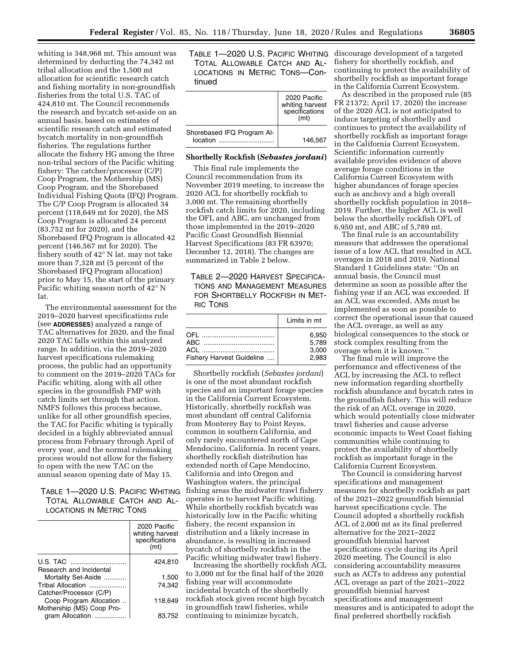whiting is 348,968 mt. This amount was determined by deducting the 74,342 mt tribal allocation and the 1,500 mt allocation for scientific research catch and fishing mortality in non-groundfish fisheries from the total U.S. TAC of 424,810 mt. The Council recommends the research and bycatch set-aside on an annual basis, based on estimates of scientific research catch and estimated bycatch mortality in non-groundfish fisheries. The regulations further allocate the fishery HG among the three non-tribal sectors of the Pacific whiting fishery: The catcher/processor (C/P) Coop Program, the Mothership (MS) Coop Program, and the Shorebased Individual Fishing Quota (IFQ) Program. The C/P Coop Program is allocated 34 percent (118,649 mt for 2020), the MS Coop Program is allocated 24 percent (83,752 mt for 2020), and the Shorebased IFQ Program is allocated 42 percent (146,567 mt for 2020). The fishery south of 42° N lat. may not take more than 7,328 mt (5 percent of the Shorebased IFQ Program allocation) prior to May 15, the start of the primary Pacific whiting season north of 42° N lat.

The environmental assessment for the 2019–2020 harvest specifications rule (see **ADDRESSES**) analyzed a range of TAC alternatives for 2020, and the final 2020 TAC falls within this analyzed range. In addition, via the 2019–2020 harvest specifications rulemaking process, the public had an opportunity to comment on the 2019–2020 TACs for Pacific whiting, along with all other species in the groundfish FMP with catch limits set through that action. NMFS follows this process because, unlike for all other groundfish species, the TAC for Pacific whiting is typically decided in a highly abbreviated annual process from February through April of every year, and the normal rulemaking process would not allow for the fishery to open with the new TAC on the annual season opening date of May 15.

TABLE 1—2020 U.S. PACIFIC WHITING TOTAL ALLOWABLE CATCH AND AL-LOCATIONS IN METRIC TONS

|                                                                                 | 2020 Pacific<br>whiting harvest<br>specifications<br>(mt) |
|---------------------------------------------------------------------------------|-----------------------------------------------------------|
| U.S. TAC<br>Research and Incidental                                             | 424.810                                                   |
| Mortality Set-Aside                                                             | 1,500                                                     |
| Tribal Allocation                                                               | 74,342                                                    |
| Catcher/Processor (C/P)<br>Coop Program Allocation<br>Mothership (MS) Coop Pro- | 118.649                                                   |
| gram Allocation                                                                 | 83,752                                                    |

TABLE 1—2020 U.S. PACIFIC WHITING TOTAL ALLOWABLE CATCH AND AL-LOCATIONS IN METRIC TONS—Continued

|                            | 2020 Pacific<br>whiting harvest<br>specifications<br>(mt) |
|----------------------------|-----------------------------------------------------------|
| Shorebased IFQ Program Al- |                                                           |
| location                   | 146.567                                                   |

## **Shortbelly Rockfish (***Sebastes jordani***)**

This final rule implements the Council recommendation from its November 2019 meeting, to increase the 2020 ACL for shortbelly rockfish to 3,000 mt. The remaining shortbelly rockfish catch limits for 2020, including the OFL and ABC, are unchanged from those implemented in the 2019–2020 Pacific Coast Groundfish Biennial Harvest Specifications (83 FR 63970; December 12, 2018). The changes are summarized in Table 2 below.

TABLE 2—2020 HARVEST SPECIFICA-TIONS AND MANAGEMENT MEASURES FOR SHORTBELLY ROCKFISH IN MET-RIC TONS

|                           | Limits in mt |  |
|---------------------------|--------------|--|
|                           | 6.950        |  |
|                           | 5.789        |  |
|                           | 3.000        |  |
| Fishery Harvest Guideline | 2.983        |  |

Shortbelly rockfish (*Sebastes jordani*) is one of the most abundant rockfish species and an important forage species in the California Current Ecosystem. Historically, shortbelly rockfish was most abundant off central California from Monterey Bay to Point Reyes, common in southern California, and only rarely encountered north of Cape Mendocino, California. In recent years, shortbelly rockfish distribution has extended north of Cape Mendocino, California and into Oregon and Washington waters, the principal fishing areas the midwater trawl fishery operates in to harvest Pacific whiting. While shortbelly rockfish bycatch was historically low in the Pacific whiting fishery, the recent expansion in distribution and a likely increase in abundance, is resulting in increased bycatch of shortbelly rockfish in the Pacific whiting midwater trawl fishery.

Increasing the shortbelly rockfish ACL to 3,000 mt for the final half of the 2020 fishing year will accommodate incidental bycatch of the shortbelly rockfish stock given recent high bycatch in groundfish trawl fisheries, while continuing to minimize bycatch,

discourage development of a targeted fishery for shortbelly rockfish, and continuing to protect the availability of shortbelly rockfish as important forage in the California Current Ecosystem.

As described in the proposed rule (85 FR 21372; April 17, 2020) the increase of the 2020 ACL is not anticipated to induce targeting of shortbelly and continues to protect the availability of shortbelly rockfish as important forage in the California Current Ecosystem. Scientific information currently available provides evidence of above average forage conditions in the California Current Ecosystem with higher abundances of forage species such as anchovy and a high overall shortbelly rockfish population in 2018– 2019. Further, the higher ACL is well below the shortbelly rockfish OFL of 6,950 mt, and ABC of 5,789 mt.

The final rule is an accountability measure that addresses the operational issue of a low ACL that resulted in ACL overages in 2018 and 2019. National Standard 1 Guidelines state: ''On an annual basis, the Council must determine as soon as possible after the fishing year if an ACL was exceeded. If an ACL was exceeded, AMs must be implemented as soon as possible to correct the operational issue that caused the ACL overage, as well as any biological consequences to the stock or stock complex resulting from the overage when it is known.''

The final rule will improve the performance and effectiveness of the ACL by increasing the ACL to reflect new information regarding shortbelly rockfish abundance and bycatch rates in the groundfish fishery. This will reduce the risk of an ACL overage in 2020, which would potentially close midwater trawl fisheries and cause adverse economic impacts to West Coast fishing communities while continuing to protect the availability of shortbelly rockfish as important forage in the California Current Ecosystem.

The Council is considering harvest specifications and management measures for shortbelly rockfish as part of the 2021–2022 groundfish biennial harvest specifications cycle. The Council adopted a shortbelly rockfish ACL of 2,000 mt as its final preferred alternative for the 2021–2022 groundfish biennial harvest specifications cycle during its April 2020 meeting. The Council is also considering accountability measures such as ACTs to address any potential ACL overage as part of the 2021–2022 groundfish biennial harvest specifications and management measures and is anticipated to adopt the final preferred shortbelly rockfish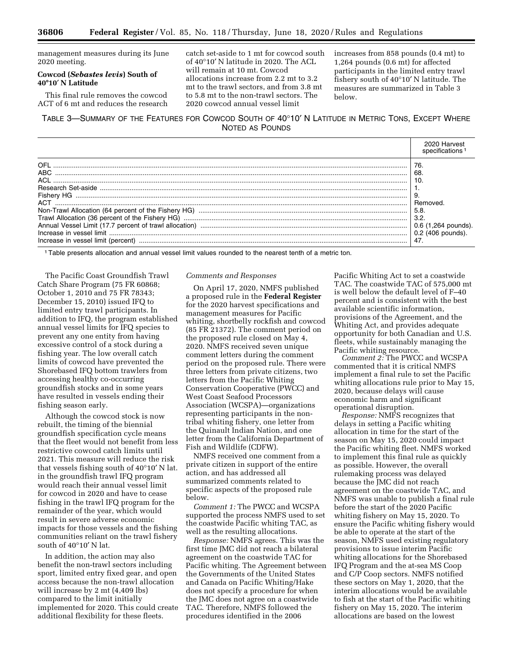management measures during its June 2020 meeting.

## **Cowcod (***Sebastes levis***) South of 40**≥**10**′ **N Latitude**

This final rule removes the cowcod ACT of 6 mt and reduces the research catch set-aside to 1 mt for cowcod south of 40°10′ N latitude in 2020. The ACL will remain at 10 mt. Cowcod allocations increase from 2.2 mt to 3.2 mt to the trawl sectors, and from 3.8 mt to 5.8 mt to the non-trawl sectors. The 2020 cowcod annual vessel limit

increases from 858 pounds (0.4 mt) to 1,264 pounds (0.6 mt) for affected participants in the limited entry trawl fishery south of 40°10′ N latitude. The measures are summarized in Table 3 below.

TABLE 3—SUMMARY OF THE FEATURES FOR COWCOD SOUTH OF 40°10′ N LATITUDE IN METRIC TONS, EXCEPT WHERE NOTED AS POUNDS



1Table presents allocation and annual vessel limit values rounded to the nearest tenth of a metric ton.

The Pacific Coast Groundfish Trawl Catch Share Program (75 FR 60868; October 1, 2010 and 75 FR 78343; December 15, 2010) issued IFQ to limited entry trawl participants. In addition to IFQ, the program established annual vessel limits for IFQ species to prevent any one entity from having excessive control of a stock during a fishing year. The low overall catch limits of cowcod have prevented the Shorebased IFQ bottom trawlers from accessing healthy co-occurring groundfish stocks and in some years have resulted in vessels ending their fishing season early.

Although the cowcod stock is now rebuilt, the timing of the biennial groundfish specification cycle means that the fleet would not benefit from less restrictive cowcod catch limits until 2021. This measure will reduce the risk that vessels fishing south of 40°10′ N lat. in the groundfish trawl IFQ program would reach their annual vessel limit for cowcod in 2020 and have to cease fishing in the trawl IFQ program for the remainder of the year, which would result in severe adverse economic impacts for those vessels and the fishing communities reliant on the trawl fishery south of 40°10′ N lat.

In addition, the action may also benefit the non-trawl sectors including sport, limited entry fixed gear, and open access because the non-trawl allocation will increase by 2 mt (4,409 lbs) compared to the limit initially implemented for 2020. This could create additional flexibility for these fleets.

#### *Comments and Responses*

On April 17, 2020, NMFS published a proposed rule in the **Federal Register**  for the 2020 harvest specifications and management measures for Pacific whiting, shortbelly rockfish and cowcod (85 FR 21372). The comment period on the proposed rule closed on May 4, 2020. NMFS received seven unique comment letters during the comment period on the proposed rule. There were three letters from private citizens, two letters from the Pacific Whiting Conservation Cooperative (PWCC) and West Coast Seafood Processors Association (WCSPA)—organizations representing participants in the nontribal whiting fishery, one letter from the Quinault Indian Nation, and one letter from the California Department of Fish and Wildlife (CDFW).

NMFS received one comment from a private citizen in support of the entire action, and has addressed all summarized comments related to specific aspects of the proposed rule below.

*Comment 1:* The PWCC and WCSPA supported the process NMFS used to set the coastwide Pacific whiting TAC, as well as the resulting allocations.

*Response:* NMFS agrees. This was the first time JMC did not reach a bilateral agreement on the coastwide TAC for Pacific whiting. The Agreement between the Governments of the United States and Canada on Pacific Whiting/Hake does not specify a procedure for when the JMC does not agree on a coastwide TAC. Therefore, NMFS followed the procedures identified in the 2006

Pacific Whiting Act to set a coastwide TAC. The coastwide TAC of 575,000 mt is well below the default level of F–40 percent and is consistent with the best available scientific information, provisions of the Agreement, and the Whiting Act, and provides adequate opportunity for both Canadian and U.S. fleets, while sustainably managing the Pacific whiting resource.

*Comment 2:* The PWCC and WCSPA commented that it is critical NMFS implement a final rule to set the Pacific whiting allocations rule prior to May 15, 2020, because delays will cause economic harm and significant operational disruption.

*Response:* NMFS recognizes that delays in setting a Pacific whiting allocation in time for the start of the season on May 15, 2020 could impact the Pacific whiting fleet. NMFS worked to implement this final rule as quickly as possible. However, the overall rulemaking process was delayed because the JMC did not reach agreement on the coastwide TAC, and NMFS was unable to publish a final rule before the start of the 2020 Pacific whiting fishery on May 15, 2020. To ensure the Pacific whiting fishery would be able to operate at the start of the season, NMFS used existing regulatory provisions to issue interim Pacific whiting allocations for the Shorebased IFQ Program and the at-sea MS Coop and C/P Coop sectors. NMFS notified these sectors on May 1, 2020, that the interim allocations would be available to fish at the start of the Pacific whiting fishery on May 15, 2020. The interim allocations are based on the lowest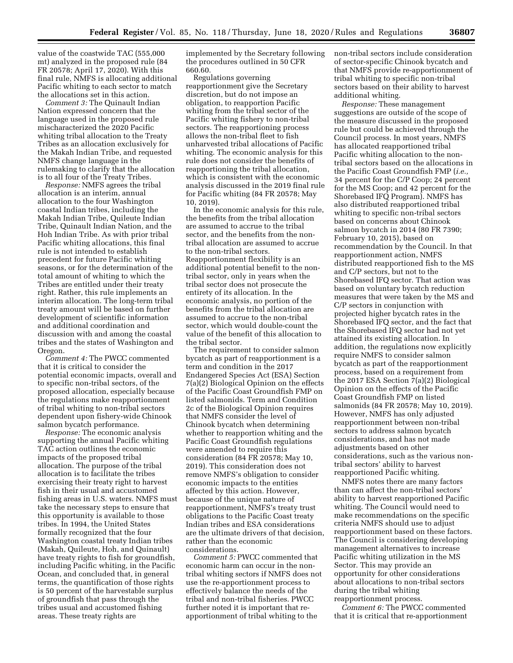value of the coastwide TAC (555,000 mt) analyzed in the proposed rule (84 FR 20578; April 17, 2020). With this final rule, NMFS is allocating additional Pacific whiting to each sector to match the allocations set in this action.

*Comment 3:* The Quinault Indian Nation expressed concern that the language used in the proposed rule mischaracterized the 2020 Pacific whiting tribal allocation to the Treaty Tribes as an allocation exclusively for the Makah Indian Tribe, and requested NMFS change language in the rulemaking to clarify that the allocation is to all four of the Treaty Tribes.

*Response:* NMFS agrees the tribal allocation is an interim, annual allocation to the four Washington coastal Indian tribes, including the Makah Indian Tribe, Quileute Indian Tribe, Quinault Indian Nation, and the Hoh Indian Tribe. As with prior tribal Pacific whiting allocations, this final rule is not intended to establish precedent for future Pacific whiting seasons, or for the determination of the total amount of whiting to which the Tribes are entitled under their treaty right. Rather, this rule implements an interim allocation. The long-term tribal treaty amount will be based on further development of scientific information and additional coordination and discussion with and among the coastal tribes and the states of Washington and Oregon.

*Comment 4:* The PWCC commented that it is critical to consider the potential economic impacts, overall and to specific non-tribal sectors, of the proposed allocation, especially because the regulations make reapportionment of tribal whiting to non-tribal sectors dependent upon fishery-wide Chinook salmon bycatch performance.

*Response:* The economic analysis supporting the annual Pacific whiting TAC action outlines the economic impacts of the proposed tribal allocation. The purpose of the tribal allocation is to facilitate the tribes exercising their treaty right to harvest fish in their usual and accustomed fishing areas in U.S. waters. NMFS must take the necessary steps to ensure that this opportunity is available to those tribes. In 1994, the United States formally recognized that the four Washington coastal treaty Indian tribes (Makah, Quileute, Hoh, and Quinault) have treaty rights to fish for groundfish, including Pacific whiting, in the Pacific Ocean, and concluded that, in general terms, the quantification of those rights is 50 percent of the harvestable surplus of groundfish that pass through the tribes usual and accustomed fishing areas. These treaty rights are

implemented by the Secretary following the procedures outlined in 50 CFR 660.60.

Regulations governing reapportionment give the Secretary discretion, but do not impose an obligation, to reapportion Pacific whiting from the tribal sector of the Pacific whiting fishery to non-tribal sectors. The reapportioning process allows the non-tribal fleet to fish unharvested tribal allocations of Pacific whiting. The economic analysis for this rule does not consider the benefits of reapportioning the tribal allocation, which is consistent with the economic analysis discussed in the 2019 final rule for Pacific whiting (84 FR 20578; May 10, 2019).

In the economic analysis for this rule, the benefits from the tribal allocation are assumed to accrue to the tribal sector, and the benefits from the nontribal allocation are assumed to accrue to the non-tribal sectors. Reapportionment flexibility is an additional potential benefit to the nontribal sector, only in years when the tribal sector does not prosecute the entirety of its allocation. In the economic analysis, no portion of the benefits from the tribal allocation are assumed to accrue to the non-tribal sector, which would double-count the value of the benefit of this allocation to the tribal sector.

The requirement to consider salmon bycatch as part of reapportionment is a term and condition in the 2017 Endangered Species Act (ESA) Section 7(a)(2) Biological Opinion on the effects of the Pacific Coast Groundfish FMP on listed salmonids. Term and Condition 2c of the Biological Opinion requires that NMFS consider the level of Chinook bycatch when determining whether to reapportion whiting and the Pacific Coast Groundfish regulations were amended to require this consideration (84 FR 20578; May 10, 2019). This consideration does not remove NMFS's obligation to consider economic impacts to the entities affected by this action. However, because of the unique nature of reapportionment, NMFS's treaty trust obligations to the Pacific Coast treaty Indian tribes and ESA considerations are the ultimate drivers of that decision, rather than the economic considerations.

*Comment 5:* PWCC commented that economic harm can occur in the nontribal whiting sectors if NMFS does not use the re-apportionment process to effectively balance the needs of the tribal and non-tribal fisheries. PWCC further noted it is important that reapportionment of tribal whiting to the

non-tribal sectors include consideration of sector-specific Chinook bycatch and that NMFS provide re-apportionment of tribal whiting to specific non-tribal sectors based on their ability to harvest additional whiting.

*Response:* These management suggestions are outside of the scope of the measure discussed in the proposed rule but could be achieved through the Council process. In most years, NMFS has allocated reapportioned tribal Pacific whiting allocation to the nontribal sectors based on the allocations in the Pacific Coast Groundfish FMP (*i.e.,*  34 percent for the C/P Coop; 24 percent for the MS Coop; and 42 percent for the Shorebased IFQ Program). NMFS has also distributed reapportioned tribal whiting to specific non-tribal sectors based on concerns about Chinook salmon bycatch in 2014 (80 FR 7390; February 10, 2015), based on recommendation by the Council. In that reapportionment action, NMFS distributed reapportioned fish to the MS and C/P sectors, but not to the Shorebased IFQ sector. That action was based on voluntary bycatch reduction measures that were taken by the MS and C/P sectors in conjunction with projected higher bycatch rates in the Shorebased IFQ sector, and the fact that the Shorebased IFQ sector had not yet attained its existing allocation. In addition, the regulations now explicitly require NMFS to consider salmon bycatch as part of the reapportionment process, based on a requirement from the 2017 ESA Section 7(a)(2) Biological Opinion on the effects of the Pacific Coast Groundfish FMP on listed salmonids (84 FR 20578; May 10, 2019). However, NMFS has only adjusted reapportionment between non-tribal sectors to address salmon bycatch considerations, and has not made adjustments based on other considerations, such as the various nontribal sectors' ability to harvest reapportioned Pacific whiting.

NMFS notes there are many factors than can affect the non-tribal sectors' ability to harvest reapportioned Pacific whiting. The Council would need to make recommendations on the specific criteria NMFS should use to adjust reapportionment based on these factors. The Council is considering developing management alternatives to increase Pacific whiting utilization in the MS Sector. This may provide an opportunity for other considerations about allocations to non-tribal sectors during the tribal whiting reapportionment process.

*Comment 6:* The PWCC commented that it is critical that re-apportionment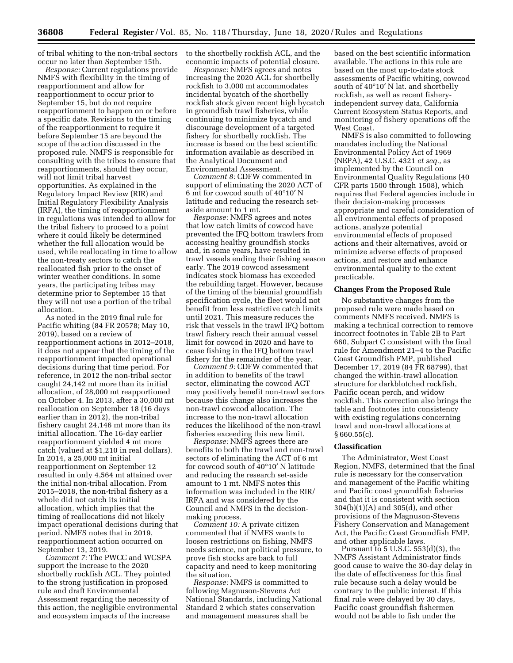of tribal whiting to the non-tribal sectors occur no later than September 15th.

*Response:* Current regulations provide NMFS with flexibility in the timing of reapportionment and allow for reapportionment to occur prior to September 15, but do not require reapportionment to happen on or before a specific date. Revisions to the timing of the reapportionment to require it before September 15 are beyond the scope of the action discussed in the proposed rule. NMFS is responsible for consulting with the tribes to ensure that reapportionments, should they occur, will not limit tribal harvest opportunities. As explained in the Regulatory Impact Review (RIR) and Initial Regulatory Flexibility Analysis (IRFA), the timing of reapportionment in regulations was intended to allow for the tribal fishery to proceed to a point where it could likely be determined whether the full allocation would be used, while reallocating in time to allow the non-treaty sectors to catch the reallocated fish prior to the onset of winter weather conditions. In some years, the participating tribes may determine prior to September 15 that they will not use a portion of the tribal allocation.

As noted in the 2019 final rule for Pacific whiting (84 FR 20578; May 10, 2019), based on a review of reapportionment actions in 2012–2018, it does not appear that the timing of the reapportionment impacted operational decisions during that time period. For reference, in 2012 the non-tribal sector caught 24,142 mt more than its initial allocation, of 28,000 mt reapportioned on October 4. In 2013, after a 30,000 mt reallocation on September 18 (16 days earlier than in 2012), the non-tribal fishery caught 24,146 mt more than its initial allocation. The 16-day earlier reapportionment yielded 4 mt more catch (valued at \$1,210 in real dollars). In 2014, a 25,000 mt initial reapportionment on September 12 resulted in only 4,564 mt attained over the initial non-tribal allocation. From 2015–2018, the non-tribal fishery as a whole did not catch its initial allocation, which implies that the timing of reallocations did not likely impact operational decisions during that period. NMFS notes that in 2019, reapportionment action occurred on September 13, 2019.

*Comment 7:* The PWCC and WCSPA support the increase to the 2020 shortbelly rockfish ACL. They pointed to the strong justification in proposed rule and draft Environmental Assessment regarding the necessity of this action, the negligible environmental and ecosystem impacts of the increase

to the shortbelly rockfish ACL, and the economic impacts of potential closure.

*Response:* NMFS agrees and notes increasing the 2020 ACL for shortbelly rockfish to 3,000 mt accommodates incidental bycatch of the shortbelly rockfish stock given recent high bycatch in groundfish trawl fisheries, while continuing to minimize bycatch and discourage development of a targeted fishery for shortbelly rockfish. The increase is based on the best scientific information available as described in the Analytical Document and Environmental Assessment.

*Comment 8:* CDFW commented in support of eliminating the 2020 ACT of 6 mt for cowcod south of 40°10′ N latitude and reducing the research setaside amount to 1 mt.

*Response:* NMFS agrees and notes that low catch limits of cowcod have prevented the IFQ bottom trawlers from accessing healthy groundfish stocks and, in some years, have resulted in trawl vessels ending their fishing season early. The 2019 cowcod assessment indicates stock biomass has exceeded the rebuilding target. However, because of the timing of the biennial groundfish specification cycle, the fleet would not benefit from less restrictive catch limits until 2021. This measure reduces the risk that vessels in the trawl IFQ bottom trawl fishery reach their annual vessel limit for cowcod in 2020 and have to cease fishing in the IFQ bottom trawl fishery for the remainder of the year.

*Comment 9:* CDFW commented that in addition to benefits of the trawl sector, eliminating the cowcod ACT may positively benefit non-trawl sectors because this change also increases the non-trawl cowcod allocation. The increase to the non-trawl allocation reduces the likelihood of the non-trawl fisheries exceeding this new limit.

*Response:* NMFS agrees there are benefits to both the trawl and non-trawl sectors of eliminating the ACT of 6 mt for cowcod south of 40°10′ N latitude and reducing the research set-aside amount to 1 mt. NMFS notes this information was included in the RIR/ IRFA and was considered by the Council and NMFS in the decisionmaking process.

*Comment 10:* A private citizen commented that if NMFS wants to loosen restrictions on fishing, NMFS needs science, not political pressure, to prove fish stocks are back to full capacity and need to keep monitoring the situation.

*Response:* NMFS is committed to following Magnuson-Stevens Act National Standards, including National Standard 2 which states conservation and management measures shall be

based on the best scientific information available. The actions in this rule are based on the most up-to-date stock assessments of Pacific whiting, cowcod south of 40°10′ N lat. and shortbelly rockfish, as well as recent fisheryindependent survey data, California Current Ecosystem Status Reports, and monitoring of fishery operations off the West Coast.

NMFS is also committed to following mandates including the National Environmental Policy Act of 1969 (NEPA), 42 U.S.C. 4321 *et seq.,* as implemented by the Council on Environmental Quality Regulations (40 CFR parts 1500 through 1508), which requires that Federal agencies include in their decision-making processes appropriate and careful consideration of all environmental effects of proposed actions, analyze potential environmental effects of proposed actions and their alternatives, avoid or minimize adverse effects of proposed actions, and restore and enhance environmental quality to the extent practicable.

### **Changes From the Proposed Rule**

No substantive changes from the proposed rule were made based on comments NMFS received. NMFS is making a technical correction to remove incorrect footnotes in Table 2B to Part 660, Subpart C consistent with the final rule for Amendment 21–4 to the Pacific Coast Groundfish FMP, published December 17, 2019 (84 FR 68799), that changed the within-trawl allocation structure for darkblotched rockfish, Pacific ocean perch, and widow rockfish. This correction also brings the table and footnotes into consistency with existing regulations concerning trawl and non-trawl allocations at  $§660.55(c)$ .

#### **Classification**

The Administrator, West Coast Region, NMFS, determined that the final rule is necessary for the conservation and management of the Pacific whiting and Pacific coast groundfish fisheries and that it is consistent with section 304(b)(1)(A) and 305(d), and other provisions of the Magnuson-Stevens Fishery Conservation and Management Act, the Pacific Coast Groundfish FMP, and other applicable laws.

Pursuant to 5 U.S.C. 553(d)(3), the NMFS Assistant Administrator finds good cause to waive the 30-day delay in the date of effectiveness for this final rule because such a delay would be contrary to the public interest. If this final rule were delayed by 30 days, Pacific coast groundfish fishermen would not be able to fish under the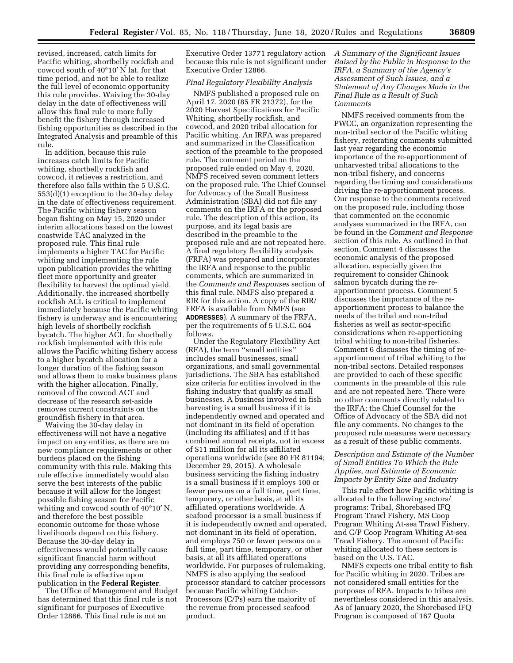revised, increased, catch limits for Pacific whiting, shortbelly rockfish and cowcod south of 40°10′ N lat. for that time period, and not be able to realize the full level of economic opportunity this rule provides. Waiving the 30-day delay in the date of effectiveness will allow this final rule to more fully benefit the fishery through increased fishing opportunities as described in the Integrated Analysis and preamble of this rule.

In addition, because this rule increases catch limits for Pacific whiting, shortbelly rockfish and cowcod, it relieves a restriction, and therefore also falls within the 5 U.S.C. 553(d)(1) exception to the 30-day delay in the date of effectiveness requirement. The Pacific whiting fishery season began fishing on May 15, 2020 under interim allocations based on the lowest coastwide TAC analyzed in the proposed rule. This final rule implements a higher TAC for Pacific whiting and implementing the rule upon publication provides the whiting fleet more opportunity and greater flexibility to harvest the optimal yield. Additionally, the increased shortbelly rockfish ACL is critical to implement immediately because the Pacific whiting fishery is underway and is encountering high levels of shortbelly rockfish bycatch. The higher ACL for shortbelly rockfish implemented with this rule allows the Pacific whiting fishery access to a higher bycatch allocation for a longer duration of the fishing season and allows them to make business plans with the higher allocation. Finally, removal of the cowcod ACT and decrease of the research set-aside removes current constraints on the groundfish fishery in that area.

Waiving the 30-day delay in effectiveness will not have a negative impact on any entities, as there are no new compliance requirements or other burdens placed on the fishing community with this rule. Making this rule effective immediately would also serve the best interests of the public because it will allow for the longest possible fishing season for Pacific whiting and cowcod south of  $40^{\circ}10'$  N, and therefore the best possible economic outcome for those whose livelihoods depend on this fishery. Because the 30-day delay in effectiveness would potentially cause significant financial harm without providing any corresponding benefits, this final rule is effective upon publication in the **Federal Register**.

The Office of Management and Budget has determined that this final rule is not significant for purposes of Executive Order 12866. This final rule is not an

Executive Order 13771 regulatory action because this rule is not significant under Executive Order 12866.

## *Final Regulatory Flexibility Analysis*

NMFS published a proposed rule on April 17, 2020 (85 FR 21372), for the 2020 Harvest Specifications for Pacific Whiting, shortbelly rockfish, and cowcod, and 2020 tribal allocation for Pacific whiting. An IRFA was prepared and summarized in the Classification section of the preamble to the proposed rule. The comment period on the proposed rule ended on May 4, 2020. NMFS received seven comment letters on the proposed rule. The Chief Counsel for Advocacy of the Small Business Administration (SBA) did not file any comments on the IRFA or the proposed rule. The description of this action, its purpose, and its legal basis are described in the preamble to the proposed rule and are not repeated here. A final regulatory flexibility analysis (FRFA) was prepared and incorporates the IRFA and response to the public comments, which are summarized in the *Comments and Responses* section of this final rule. NMFS also prepared a RIR for this action. A copy of the RIR/ FRFA is available from NMFS (see **ADDRESSES**). A summary of the FRFA, per the requirements of 5 U.S.C. 604 follows.

Under the Regulatory Flexibility Act (RFA), the term ''small entities'' includes small businesses, small organizations, and small governmental jurisdictions. The SBA has established size criteria for entities involved in the fishing industry that qualify as small businesses. A business involved in fish harvesting is a small business if it is independently owned and operated and not dominant in its field of operation (including its affiliates) and if it has combined annual receipts, not in excess of \$11 million for all its affiliated operations worldwide (see 80 FR 81194; December 29, 2015). A wholesale business servicing the fishing industry is a small business if it employs 100 or fewer persons on a full time, part time, temporary, or other basis, at all its affiliated operations worldwide. A seafood processor is a small business if it is independently owned and operated, not dominant in its field of operation, and employs 750 or fewer persons on a full time, part time, temporary, or other basis, at all its affiliated operations worldwide. For purposes of rulemaking, NMFS is also applying the seafood processor standard to catcher processors because Pacific whiting Catcher-Processors (C/Ps) earn the majority of the revenue from processed seafood product.

*A Summary of the Significant Issues Raised by the Public in Response to the IRFA, a Summary of the Agency's Assessment of Such Issues, and a Statement of Any Changes Made in the Final Rule as a Result of Such Comments* 

NMFS received comments from the PWCC, an organization representing the non-tribal sector of the Pacific whiting fishery, reiterating comments submitted last year regarding the economic importance of the re-apportionment of unharvested tribal allocations to the non-tribal fishery, and concerns regarding the timing and considerations driving the re-apportionment process. Our response to the comments received on the proposed rule, including those that commented on the economic analyses summarized in the IRFA, can be found in the *Comment and Response*  section of this rule. As outlined in that section, Comment 4 discusses the economic analysis of the proposed allocation, especially given the requirement to consider Chinook salmon bycatch during the reapportionment process. Comment 5 discusses the importance of the reapportionment process to balance the needs of the tribal and non-tribal fisheries as well as sector-specific considerations when re-apportioning tribal whiting to non-tribal fisheries. Comment 6 discusses the timing of reapportionment of tribal whiting to the non-tribal sectors. Detailed responses are provided to each of these specific comments in the preamble of this rule and are not repeated here. There were no other comments directly related to the IRFA; the Chief Counsel for the Office of Advocacy of the SBA did not file any comments. No changes to the proposed rule measures were necessary as a result of these public comments.

## *Description and Estimate of the Number of Small Entities To Which the Rule Applies, and Estimate of Economic Impacts by Entity Size and Industry*

This rule affect how Pacific whiting is allocated to the following sectors/ programs: Tribal, Shorebased IFQ Program Trawl Fishery, MS Coop Program Whiting At-sea Trawl Fishery, and C/P Coop Program Whiting At-sea Trawl Fishery. The amount of Pacific whiting allocated to these sectors is based on the U.S. TAC.

NMFS expects one tribal entity to fish for Pacific whiting in 2020. Tribes are not considered small entities for the purposes of RFA. Impacts to tribes are nevertheless considered in this analysis. As of January 2020, the Shorebased IFQ Program is composed of 167 Quota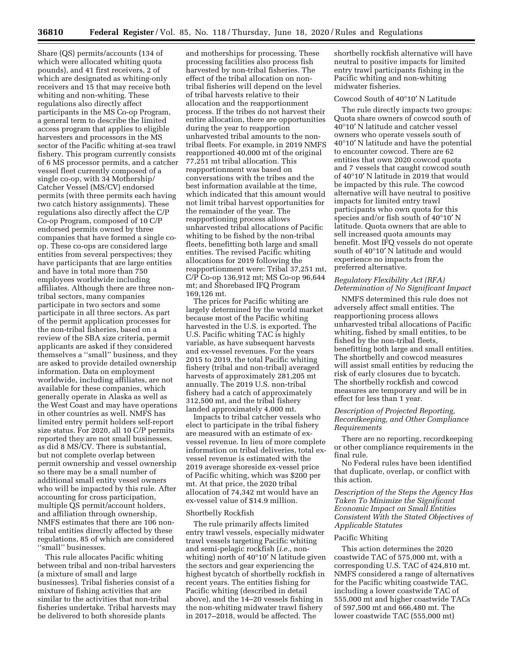Share (QS) permits/accounts (134 of which were allocated whiting quota pounds), and 41 first receivers, 2 of which are designated as whiting-only receivers and 15 that may receive both whiting and non-whiting. These regulations also directly affect participants in the MS Co-op Program, a general term to describe the limited access program that applies to eligible harvesters and processors in the MS sector of the Pacific whiting at-sea trawl fishery. This program currently consists of 6 MS processor permits, and a catcher vessel fleet currently composed of a single co-op, with 34 Mothership/ Catcher Vessel (MS/CV) endorsed permits (with three permits each having two catch history assignments). These regulations also directly affect the C/P Co-op Program, composed of 10 C/P endorsed permits owned by three companies that have formed a single coop. These co-ops are considered large entities from several perspectives; they have participants that are large entities and have in total more than 750 employees worldwide including affiliates. Although there are three nontribal sectors, many companies participate in two sectors and some participate in all three sectors. As part of the permit application processes for the non-tribal fisheries, based on a review of the SBA size criteria, permit applicants are asked if they considered themselves a ''small'' business, and they are asked to provide detailed ownership information. Data on employment worldwide, including affiliates, are not available for these companies, which generally operate in Alaska as well as the West Coast and may have operations in other countries as well. NMFS has limited entry permit holders self-report size status. For 2020, all 10 C/P permits reported they are not small businesses, as did 8 MS/CV. There is substantial, but not complete overlap between permit ownership and vessel ownership so there may be a small number of additional small entity vessel owners who will be impacted by this rule. After accounting for cross participation, multiple QS permit/account holders, and affiliation through ownership, NMFS estimates that there are 106 nontribal entities directly affected by these regulations, 85 of which are considered ''small'' businesses.

This rule allocates Pacific whiting between tribal and non-tribal harvesters (a mixture of small and large businesses). Tribal fisheries consist of a mixture of fishing activities that are similar to the activities that non-tribal fisheries undertake. Tribal harvests may be delivered to both shoreside plants

and motherships for processing. These processing facilities also process fish harvested by non-tribal fisheries. The effect of the tribal allocation on nontribal fisheries will depend on the level of tribal harvests relative to their allocation and the reapportionment process. If the tribes do not harvest their entire allocation, there are opportunities during the year to reapportion unharvested tribal amounts to the nontribal fleets. For example, in 2019 NMFS reapportioned 40,000 mt of the original 77,251 mt tribal allocation. This reapportionment was based on conversations with the tribes and the best information available at the time, which indicated that this amount would not limit tribal harvest opportunities for the remainder of the year. The reapportioning process allows unharvested tribal allocations of Pacific whiting to be fished by the non-tribal fleets, benefitting both large and small entities. The revised Pacific whiting allocations for 2019 following the reapportionment were: Tribal 37,251 mt, C/P Co-op 136,912 mt; MS Co-op 96,644 mt; and Shorebased IFQ Program 169,126 mt.

The prices for Pacific whiting are largely determined by the world market because most of the Pacific whiting harvested in the U.S. is exported. The U.S. Pacific whiting TAC is highly variable, as have subsequent harvests and ex-vessel revenues. For the years 2015 to 2019, the total Pacific whiting fishery (tribal and non-tribal) averaged harvests of approximately 281,205 mt annually. The 2019 U.S. non-tribal fishery had a catch of approximately 312,500 mt, and the tribal fishery landed approximately 4,000 mt.

Impacts to tribal catcher vessels who elect to participate in the tribal fishery are measured with an estimate of exvessel revenue. In lieu of more complete information on tribal deliveries, total exvessel revenue is estimated with the 2019 average shoreside ex-vessel price of Pacific whiting, which was \$200 per mt. At that price, the 2020 tribal allocation of 74,342 mt would have an ex-vessel value of \$14.9 million.

#### Shortbelly Rockfish

The rule primarily affects limited entry trawl vessels, especially midwater trawl vessels targeting Pacific whiting and semi-pelagic rockfish (*i.e.,* nonwhiting) north of 40°10′ N latitude given the sectors and gear experiencing the highest bycatch of shortbelly rockfish in recent years. The entities fishing for Pacific whiting (described in detail above), and the 14–20 vessels fishing in the non-whiting midwater trawl fishery in 2017–2018, would be affected. The

shortbelly rockfish alternative will have neutral to positive impacts for limited entry trawl participants fishing in the Pacific whiting and non-whiting midwater fisheries.

#### Cowcod South of 40°10′ N Latitude

The rule directly impacts two groups: Quota share owners of cowcod south of 40°10′ N latitude and catcher vessel owners who operate vessels south of 40°10′ N latitude and have the potential to encounter cowcod. There are 62 entities that own 2020 cowcod quota and 7 vessels that caught cowcod south of 40°10′ N latitude in 2019 that would be impacted by this rule. The cowcod alternative will have neutral to positive impacts for limited entry trawl participants who own quota for this species and/or fish south of 40°10′ N latitude. Quota owners that are able to sell increased quota amounts may benefit. Most IFQ vessels do not operate south of 40°10′ N latitude and would experience no impacts from the preferred alternative.

#### *Regulatory Flexibility Act (RFA) Determination of No Significant Impact*

NMFS determined this rule does not adversely affect small entities. The reapportioning process allows unharvested tribal allocations of Pacific whiting, fished by small entities, to be fished by the non-tribal fleets, benefitting both large and small entities. The shortbelly and cowcod measures will assist small entities by reducing the risk of early closures due to bycatch. The shortbelly rockfish and cowcod measures are temporary and will be in effect for less than 1 year.

## *Description of Projected Reporting, Recordkeeping, and Other Compliance Requirements*

There are no reporting, recordkeeping or other compliance requirements in the final rule.

No Federal rules have been identified that duplicate, overlap, or conflict with this action.

*Description of the Steps the Agency Has Taken To Minimize the Significant Economic Impact on Small Entities Consistent With the Stated Objectives of Applicable Statutes* 

#### Pacific Whiting

This action determines the 2020 coastwide TAC of 575,000 mt, with a corresponding U.S. TAC of 424,810 mt. NMFS considered a range of alternatives for the Pacific whiting coastwide TAC, including a lower coastwide TAC of 555,000 mt and higher coastwide TACs of 597,500 mt and 666,480 mt. The lower coastwide TAC (555,000 mt)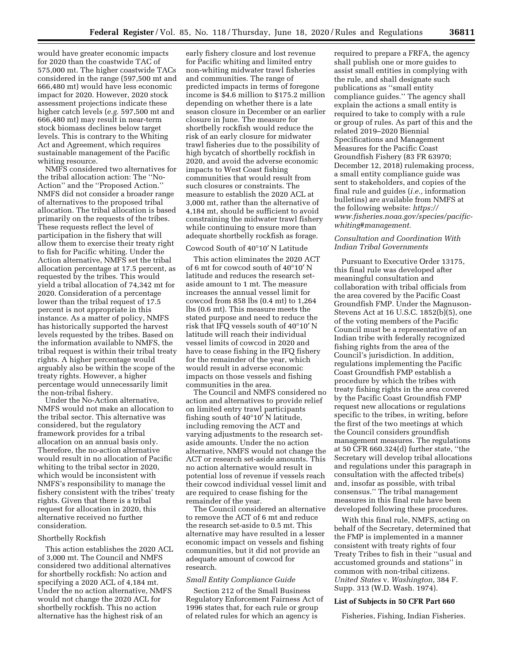would have greater economic impacts for 2020 than the coastwide TAC of 575,000 mt. The higher coastwide TACs considered in the range (597,500 mt and 666,480 mt) would have less economic impact for 2020. However, 2020 stock assessment projections indicate these higher catch levels (*e.g.* 597,500 mt and 666,480 mt) may result in near-term stock biomass declines below target levels. This is contrary to the Whiting Act and Agreement, which requires sustainable management of the Pacific whiting resource.

NMFS considered two alternatives for the tribal allocation action: The ''No-Action'' and the ''Proposed Action.'' NMFS did not consider a broader range of alternatives to the proposed tribal allocation. The tribal allocation is based primarily on the requests of the tribes. These requests reflect the level of participation in the fishery that will allow them to exercise their treaty right to fish for Pacific whiting. Under the Action alternative, NMFS set the tribal allocation percentage at 17.5 percent, as requested by the tribes. This would yield a tribal allocation of 74,342 mt for 2020. Consideration of a percentage lower than the tribal request of 17.5 percent is not appropriate in this instance. As a matter of policy, NMFS has historically supported the harvest levels requested by the tribes. Based on the information available to NMFS, the tribal request is within their tribal treaty rights. A higher percentage would arguably also be within the scope of the treaty rights. However, a higher percentage would unnecessarily limit the non-tribal fishery.

Under the No-Action alternative, NMFS would not make an allocation to the tribal sector. This alternative was considered, but the regulatory framework provides for a tribal allocation on an annual basis only. Therefore, the no-action alternative would result in no allocation of Pacific whiting to the tribal sector in 2020, which would be inconsistent with NMFS's responsibility to manage the fishery consistent with the tribes' treaty rights. Given that there is a tribal request for allocation in 2020, this alternative received no further consideration.

#### Shortbelly Rockfish

This action establishes the 2020 ACL of 3,000 mt. The Council and NMFS considered two additional alternatives for shortbelly rockfish: No action and specifying a 2020 ACL of 4,184 mt. Under the no action alternative, NMFS would not change the 2020 ACL for shortbelly rockfish. This no action alternative has the highest risk of an

early fishery closure and lost revenue for Pacific whiting and limited entry non-whiting midwater trawl fisheries and communities. The range of predicted impacts in terms of foregone income is \$4.6 million to \$175.2 million depending on whether there is a late season closure in December or an earlier closure in June. The measure for shortbelly rockfish would reduce the risk of an early closure for midwater trawl fisheries due to the possibility of high bycatch of shortbelly rockfish in 2020, and avoid the adverse economic impacts to West Coast fishing communities that would result from such closures or constraints. The measure to establish the 2020 ACL at 3,000 mt, rather than the alternative of 4,184 mt, should be sufficient to avoid constraining the midwater trawl fishery while continuing to ensure more than adequate shortbelly rockfish as forage.

## Cowcod South of 40°10′ N Latitude

This action eliminates the 2020 ACT of 6 mt for cowcod south of 40°10′ N latitude and reduces the research setaside amount to 1 mt. The measure increases the annual vessel limit for cowcod from 858 lbs (0.4 mt) to 1,264 lbs (0.6 mt). This measure meets the stated purpose and need to reduce the risk that IFQ vessels south of 40°10′ N latitude will reach their individual vessel limits of cowcod in 2020 and have to cease fishing in the IFQ fishery for the remainder of the year, which would result in adverse economic impacts on those vessels and fishing communities in the area.

The Council and NMFS considered no action and alternatives to provide relief on limited entry trawl participants fishing south of 40°10′ N latitude, including removing the ACT and varying adjustments to the research setaside amounts. Under the no action alternative, NMFS would not change the ACT or research set-aside amounts. This no action alternative would result in potential loss of revenue if vessels reach their cowcod individual vessel limit and are required to cease fishing for the remainder of the year.

The Council considered an alternative to remove the ACT of 6 mt and reduce the research set-aside to 0.5 mt. This alternative may have resulted in a lesser economic impact on vessels and fishing communities, but it did not provide an adequate amount of cowcod for research.

#### *Small Entity Compliance Guide*

Section 212 of the Small Business Regulatory Enforcement Fairness Act of 1996 states that, for each rule or group of related rules for which an agency is

required to prepare a FRFA, the agency shall publish one or more guides to assist small entities in complying with the rule, and shall designate such publications as ''small entity compliance guides.'' The agency shall explain the actions a small entity is required to take to comply with a rule or group of rules. As part of this and the related 2019–2020 Biennial Specifications and Management Measures for the Pacific Coast Groundfish Fishery (83 FR 63970; December 12, 2018) rulemaking process, a small entity compliance guide was sent to stakeholders, and copies of the final rule and guides (*i.e.,* information bulletins) are available from NMFS at the following website: *[https://](https://www.fisheries.noaa.gov/species/pacific-whiting#management) [www.fisheries.noaa.gov/species/pacific](https://www.fisheries.noaa.gov/species/pacific-whiting#management)[whiting#management.](https://www.fisheries.noaa.gov/species/pacific-whiting#management)* 

## *Consultation and Coordination With Indian Tribal Governments*

Pursuant to Executive Order 13175, this final rule was developed after meaningful consultation and collaboration with tribal officials from the area covered by the Pacific Coast Groundfish FMP. Under the Magnuson-Stevens Act at 16 U.S.C. 1852(b)(5), one of the voting members of the Pacific Council must be a representative of an Indian tribe with federally recognized fishing rights from the area of the Council's jurisdiction. In addition, regulations implementing the Pacific Coast Groundfish FMP establish a procedure by which the tribes with treaty fishing rights in the area covered by the Pacific Coast Groundfish FMP request new allocations or regulations specific to the tribes, in writing, before the first of the two meetings at which the Council considers groundfish management measures. The regulations at 50 CFR 660.324(d) further state, ''the Secretary will develop tribal allocations and regulations under this paragraph in consultation with the affected tribe(s) and, insofar as possible, with tribal consensus.'' The tribal management measures in this final rule have been developed following these procedures.

With this final rule, NMFS, acting on behalf of the Secretary, determined that the FMP is implemented in a manner consistent with treaty rights of four Treaty Tribes to fish in their ''usual and accustomed grounds and stations'' in common with non-tribal citizens. *United States* v. *Washington,* 384 F. Supp. 313 (W.D. Wash. 1974).

#### **List of Subjects in 50 CFR Part 660**

Fisheries, Fishing, Indian Fisheries.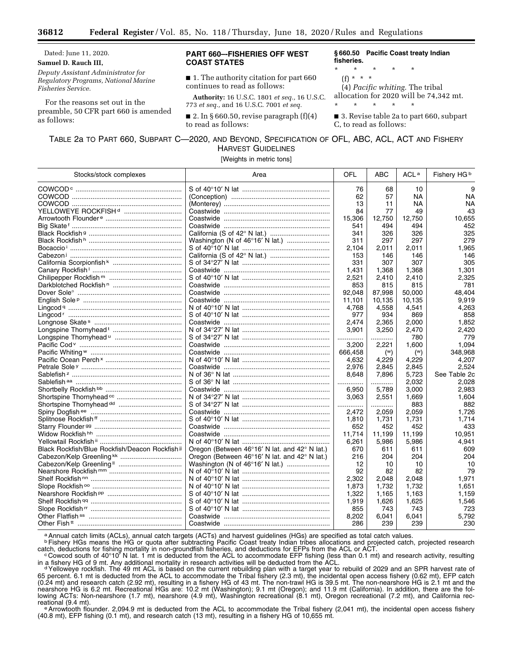Dated: June 11, 2020.

### **Samuel D. Rauch III,**

*Deputy Assistant Administrator for Regulatory Programs, National Marine Fisheries Service.* 

For the reasons set out in the preamble, 50 CFR part 660 is amended as follows:

## **PART 660–-FISHERIES OFF WEST COAST STATES**

■ 1. The authority citation for part 660 continues to read as follows:

**Authority:** 16 U.S.C. 1801 *et seq.,* 16 U.S.C. 773 *et seq.,* and 16 U.S.C. 7001 *et seq.* 

■ 2. In § 660.50, revise paragraph  $(f)(4)$ to read as follows:

**§ 660.50 Pacific Coast treaty Indian fisheries.** 

- \* \* \* \* \*
- (f) \* \* \*

(4) *Pacific whiting.* The tribal allocation for 2020 will be 74,342 mt. \* \* \* \* \*

■ 3. Revise table 2a to part 660, subpart C, to read as follows:

## TABLE 2a TO PART 660, SUBPART C—2020, AND BEYOND, SPECIFICATION OF OFL, ABC, ACL, ACT AND FISHERY HARVEST GUIDELINES

[Weights in metric tons]

| Stocks/stock complexes                          | Area                                                            | OFL     | <b>ABC</b>     | ACL <sup>a</sup> | Fishery HG <sup>b</sup> |
|-------------------------------------------------|-----------------------------------------------------------------|---------|----------------|------------------|-------------------------|
|                                                 |                                                                 | 76      | 68             | 10               | 9                       |
|                                                 |                                                                 | 62      | 57             | <b>NA</b>        | <b>NA</b>               |
|                                                 |                                                                 | 13      | 11             | NA               | <b>NA</b>               |
| YELLOWEYE ROCKFISH <sup>d</sup>                 |                                                                 | 84      | 77             | 49               | 43                      |
|                                                 |                                                                 | 15,306  | 12,750         | 12,750           | 10.655                  |
|                                                 |                                                                 | 541     | 494            | 494              | 452                     |
|                                                 |                                                                 | 341     | 326            | 326              | 325                     |
|                                                 |                                                                 | 311     | 297            | 297              | 279                     |
|                                                 |                                                                 | 2,104   | 2,011          | 2,011            | 1,965                   |
|                                                 |                                                                 | 153     | 146            | 146              | 146                     |
|                                                 |                                                                 | 331     | 307            | 307              | 305                     |
|                                                 |                                                                 | 1,431   | 1,368          | 1,368            | 1,301                   |
|                                                 |                                                                 | 2,521   | 2,410          | 2,410            | 2,325                   |
|                                                 |                                                                 | 853     | 815            | 815              | 781                     |
|                                                 |                                                                 | 92.048  | 87,998         | 50,000           | 48,404                  |
|                                                 |                                                                 | 11,101  | 10,135         | 10,135           | 9,919                   |
|                                                 |                                                                 | 4,768   | 4,558          | 4,541            | 4,263                   |
|                                                 |                                                                 | 977     | 934            | 869              | 858                     |
|                                                 |                                                                 | 2,474   | 2,365          | 2,000            | 1,852                   |
|                                                 |                                                                 | 3,901   | 3,250          | 2,470            | 2,420                   |
|                                                 |                                                                 | .       | .              | 780              | 779                     |
|                                                 |                                                                 | 3.200   | 2,221          | 1,600            | 1,094                   |
|                                                 |                                                                 | 666,458 | $(\mathbb{W})$ | $(\mathsf{w})$   | 348,968                 |
|                                                 |                                                                 | 4,632   | 4,229          | 4,229            | 4,207                   |
|                                                 |                                                                 | 2,976   | 2,845          | 2,845            | 2,524                   |
|                                                 |                                                                 | 8.648   | 7,896          | 5,723            | See Table 2c            |
|                                                 |                                                                 | .       | .              | 2,032            | 2,028                   |
|                                                 |                                                                 | 6,950   | 5,789          | 3,000            | 2,983                   |
|                                                 |                                                                 | 3.063   | 2,551          | 1,669            | 1,604                   |
|                                                 |                                                                 | .       |                | 883              | 882                     |
|                                                 |                                                                 | 2.472   | .<br>2,059     | 2,059            | 1,726                   |
|                                                 |                                                                 | 1,810   | 1,731          | 1,731            | 1,714                   |
|                                                 |                                                                 | 652     | 452            | 452              | 433                     |
|                                                 |                                                                 | 11,714  | 11,199         | 11,199           | 10,951                  |
|                                                 |                                                                 | 6,261   | 5,986          | 5,986            | 4,941                   |
| Black Rockfish/Blue Rockfish/Deacon Rockfish ii | Oregon (Between $46^{\circ}16'$ N lat. and $42^{\circ}$ N lat.) | 670     | 611            | 611              | 609                     |
|                                                 | Oregon (Between $46^{\circ}16'$ N lat. and $42^{\circ}$ N lat.) | 216     | 204            | 204              | 204                     |
|                                                 |                                                                 | 12      | 10             | 10               | 10                      |
|                                                 |                                                                 | 92      | 82             | 82               | 79                      |
|                                                 |                                                                 | 2,302   | 2,048          | 2,048            | 1,971                   |
|                                                 |                                                                 | 1,873   | 1,732          | 1,732            | 1,651                   |
|                                                 |                                                                 | 1.322   |                |                  |                         |
|                                                 |                                                                 | 1,919   | 1,165<br>1,626 | 1,163<br>1,625   | 1,159<br>1,546          |
|                                                 |                                                                 | 855     | 743            | 743              | 723                     |
|                                                 |                                                                 | 8,202   | 6,041          |                  | 5,792                   |
|                                                 |                                                                 | 286     | 239            | 6.041<br>239     | 230                     |
|                                                 |                                                                 |         |                |                  |                         |

a Annual catch limits (ACLs), annual catch targets (ACTs) and harvest guidelines (HGs) are specified as total catch values.

**b Fishery HGs means the HG or quota after subtracting Pacific Coast treaty Indian tribes allocations and projected catch, projected research** 

catch, deductions for fishing mortality in non-groundfish fisheries, and deductions for EFPs from the ACL or ACT.<br>Cowcod south of 40°10′ N lat. 1 mt is deducted from the ACL to accommodate EFP fishing (less than 0.1 mt) an

in a fishery HG of 9 mt. Any additional mortality in research activities will be deducted from the ACL.<br>d Yelloweye rockfish. The 49 mt ACL is based on the current rebuilding plan with a target year to rebuild of 2029 and 65 percent. 6.1 mt is deducted from the ACL to accommodate the Tribal fishery (2.3 mt), the incidental open access fishery (0.62 mt), EFP catch (0.24 mt) and research catch (2.92 mt), resulting in a fishery HG of 43 mt. The non-trawl HG is 39.5 mt. The non-nearshore HG is 2.1 mt and the nearshore HG is 6.2 mt. Recreational HGs are: 10.2 mt (Washington); 9.1 mt (Oregon); and 11.9 mt (California). In addition, there are the following ACTs: Non-nearshore (1.7 mt), nearshore (4.9 mt), Washington recreational (8.1 mt), Oregon recreational (7.2 mt), and California rec-<br>reational (9.4 mt).

e Arrowtooth flounder. 2,094.9 mt is deducted from the ACL to accommodate the Tribal fishery (2,041 mt), the incidental open access fishery (40.8 mt), EFP fishing (0.1 mt), and research catch (13 mt), resulting in a fishery HG of 10,655 mt.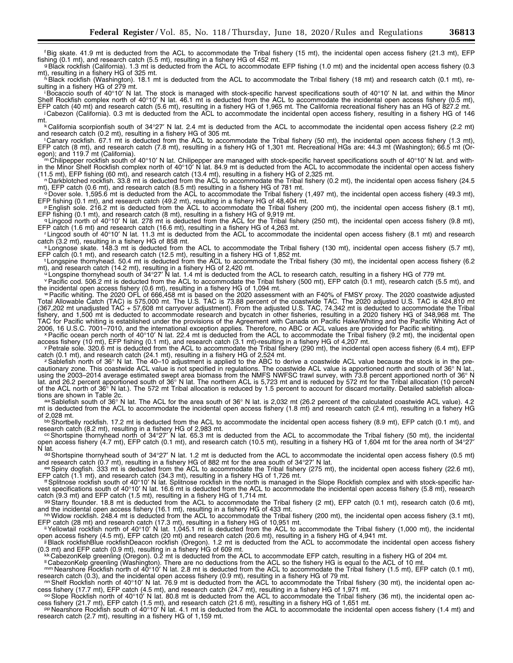9Black rockfish (California). 1.3 mt is deducted from the ACL to accommodate EFP fishing (1.0 mt) and the incidental open access fishery (0.3 mt), resulting in a fishery HG of 325 mt.

<sup>n</sup>Black rockfish (Washington). 18.1 mt is deducted from the ACL to accommodate the Tribal fishery (18 mt) and research catch (0.1 mt), re-<br>sulting in a fishery HG of 279 mt.

iBocaccio south of 40°10′ N lat. The stock is managed with stock-specific harvest specifications south of 40°10′ N lat. and within the Minor Shelf Rockfish complex north of 40°10′ N lat. 46.1 mt is deducted from the ACL to accommodate the incidental open access fishery (0.5 mt),<br>EFP catch (40 mt) and research catch (5.6 mt), resulting in a fishery HG of 1,965 m j Cabezon (California). 0.3 mt is deducted from the ACL to accommodate the incidental open access fishery, resulting in a fishery HG of 146

mt.<br><sup>k</sup> California scorpionfish south of 34°27′ N lat. 2.4 mt is deducted from the ACL to accommodate the incidental open access fishery (2.2 mt)<br>and research catch (0.2 mt), resulting in a fishery HG of 305 mt.

Canary rockfish. 67.1 mt is deducted from the ACL to accommodate the Tribal fishery (50 mt), the incidental open access fishery (1.3 mt), EFP catch (8 mt), and research catch (7.8 mt), resulting in a fishery HG of 1,301 mt. Recreational HGs are: 44.3 mt (Washington); 66.5 mt (Or-<br>egon); and 119.7 mt (California). egon); and 119.7 mt (California).<br>m Chilipepper rockfish south of 40°10′ N lat. Chilipepper are managed with stock-specific harvest specifications south of 40°10′ N lat. and with-

in the Minor Shelf Rockfish complex north of 40°10′ N lat. 84.9 mt is deducted from the ACL to accommodate the incidental open access fishery

(11.5 mt), EFP fishing (60 mt), and research catch (13.4 mt), resulting in a fishery HG of 2,325 mt.<br>no Darkblotched rockfish. 33.8 mt is deducted from the ACL to accommodate the Tribal fishery (0.2 mt), the incidental ope

 $^6$ Dover sole. 1,595.6 mt is deducted from the ACL to accommodate the Tribal fishery (1,497 mt), the incidental open access fishery (49.3 mt), EFP fishing (0.1 mt), and research catch (49.2 mt), resulting in a fishery HG

PEnglish sole. 216.2 mt is deducted from the ACL to accommodate the Tribal fishery (200 mt), the incidental open access fishery (8.1 mt), EFP fishing (0.1 mt), and research catch (8 mt), resulting in a fishery HG of 9.919

q Lingcod north of 40°10′ N lat. 278 mt is deducted from the ACL for the Tribal fishery (250 mt), the incidental open access fishery (9.8 mt),

EFP catch (1.6 mt) and research catch (16.6 mt), resulting in a fishery HG of 4,263 mt.<br>
"Lingcod south of 40°10' N lat. 11.3 mt is deducted from the ACL to accommodate the incidental open access fishery (8.1 mt) and resea

catch (3.2 mi), resulting in a fishery HG of 858 million and a fishery HG of 1,852 mt is longnose skate. 148.3 mt is deducted from the ACL to accommodate the Tribal fishery (130 mt), incidental open access fishery (5.7 mt)

<sup>t</sup>Longspine thornyhead. 50.4 mt is deducted from the ACL to accommodate the Tribal fishery (30 mt), the incidental open access fishery (6.2 mt), and research catch (14.2 mt), resulting in a fishery HG of 2,420 mt.<br>"Longspine thornyhead south of 34°27' N lat. 1.4 mt is deducted from the ACL to research catch, resulting in a fishery HG of 2,420 mt.<br>"Pacific cod.

the incidental open access fishery (0.6 mt), resulting in a fishery HG of 1,094 mt. w Pacific whiting. The 2020 OFL of 666,458 mt is based on the 2020 assessment with an F40% of FMSY proxy. The 2020 coastwide adjusted

Total Allowable Catch (TAC) is 575,000 mt. The U.S. TAC is 73.88 percent of the coastwide TAC. The 2020 adjusted U.S. TAC is 424,810 mt (367,202 mt unadjusted TAC + 57,608 mt carryover adjustment). From the adjusted U.S. TAC, 74,342 mt is deducted to accommodate the Tribal fishery, and 1,500 mt is deducted to accommodate research and bycatch in other fisheries, resulting in a 2020 fishery HG of 348,968 mt. The TAC for Pacific whiting is established under the provisions of the Agreement with Canada on Pacific Hake/Whiting and the Pacific Whiting Act of

2006, 16 U.S.C. 7001-7010, and the international exception applies. Therefore, no ABC or ACL values are provided for Pacific whiting.<br><sup>×</sup> Pacific ocean perch north of 40°10′ N lat. 22.4 mt is deducted from the ACL to accom

y Petrale sole. 320.6 mt is deducted from the ACL to accommodate the Tribal fishery (290 mt), the incidental open access fishery (6.4 mt), EFP catch (0.1 mt), and research catch (24.1 mt), resulting in a fishery HG of 2,52

 $z$  Sablefish north of 36° N lat. The 40–10 adjustment is applied to the ABC to derive a coastwide ACL value because the stock is in the precautionary zone. This coastwide ACL value is not specified in regulations. The coastwide ACL value is apportioned north and south of 36° N lat., using the 2003–2014 average estimated swept area biomass from the NMFS NWFSC trawl survey, with 73.8 percent apportioned north of 36° N lat. and 26.2 percent apportioned south of 36° N lat. The northern ACL is 5,723 mt and is reduced by 572 mt for the Tribal allocation (10 perceN of the ACL north of 36° N lat.). The 572 mt Tribal allocation is reduced by 1.5 percent to account for discard mortality. Detailed sablefish alloca-<br>tions are shown in Table 2c.

aa Sablefish south of 36° N lat. The ACL for the area south of 36° N lat. is 2,032 mt (26.2 percent of the calculated coastwide ACL value). 4.2 mt is deducted from the ACL to accommodate the incidental open access fishery (1.8 mt) and research catch (2.4 mt), resulting in a fishery HG<br>of 2,028 mt.

bb Shortbelly rockfish. 17.2 mt is deducted from the ACL to accommodate the incidental open access fishery (8.9 mt), EFP catch (0.1 mt), and research catch (8.2 mt), resulting in a fishery HG of 2,983 mt.<br>  $\infty$  Shortspine thornyhead north of 34°27′ N lat. 65.3 mt is deducted from the ACL to accommodate the Tribal fishery (50 mt), the incidental  $\infty$ 

open access fishery (4.7 mt), EFP catch (0.1 mt), and research catch (10.5 mt), resulting in a fishery HG of 1,604 mt for the area north of 34°27′

<sup>dd</sup> Shortspine thornyhead south of 34°27′ N lat. 1.2 mt is deducted from the ACL to accommodate the incidental open access fishery (0.5 mt) and research catch (0.7 mt), resulting in a fishery HG of 882 mt for the area so

e Spiny dogfish. 333 mt is deducted from the ACL to accommodate the Tribal fishery (275 mt), the incidental open access fishery (22.6 mt),<br>EFP catch (1.1 mt), and research catch (34.3 mt), resulting in a fishery HG of 1,72

ff Splitnose rockfish south of 40°10' N lat. Splitnose rockfish in the north is managed in the Slope Rockfish complex and with stock-specific harvest specifications south of 40°10′ N lat. 16.6 mt is deducted from the ACL to accommodate the incidental open access fishery (5.8 mt), research catch (9.3 mt) and EFP catch (1.5 mt), resulting in a fishery HG of 1,714 mt.

gg Starry flounder. 18.8 mt is deducted from the ACL to accommodate the Tribal fishery (2 mt), EFP catch (0.1 mt), research catch (0.6 mt),

and the incidental open access fishery (16.1 mt), resulting in a fishery HG of 433 mt.<br>http://widow.rockfish. 248.4 mt is deducted from the ACL to accommodate the Tribal fishery (200 mt), the incidental open access fishery

EFP catch (28 mt) and research catch (17.3 mt), resulting in a fishery HG of 10,951 mt.<br>"Yellowtail rockfish north of 40°10' N lat. 1,045.1 mt is deducted from the ACL to accommodate the Tribal fishery (1,000 mt), the inci

jjBlack rockfishBlue rockfishDeacon rockfish (Oregon). 1.2 mt is deducted from the ACL to accommodate the incidental open access fishery (0.3 mt) and EFP catch (0.9 mt), resulting in a fishery HG of 609 mt.<br><sup>kk</sup> CabezonKelp greenling (Oregon). 0.2 mt is deducted from the ACL to accommodate EFP catch, resulting in a fishery HG of 204 mt.<br>"CabezonKelp greenli

mm Nearshore Rockfish north of 40°10′ N lat. 2.8 mt is deducted from the ACL to accommodate the Tribal fishery (1.5 mt), EFP catch (0.1 mt), research catch (0.3), and the incidental open access fishery (0.9 mt), resulting

nn Shelf Rockfish north of 40°10' N lat. 76.9 mt is deducted from the ACL to accommodate the Tribal fishery (30 mt), the incidental open ac-

cess fishery (17.7 mt), EFP catch (4.5 mt), and research catch (24.7 mt), resulting in a fishery HG of 1,971 mt.<br>  $\degree$  Slope Rockfish north of 40°10' N lat. 80.8 mt is deducted from the ACL to accommodate the Tribal fishe

PP Nearshore Rockfish south of 40°10' N lat. 4.1 mt is deducted from the ACL to accommodate the incidental open access fishery (1.4 mt) and research catch (2.7 mt), resulting in a fishery HG of 1,159 mt.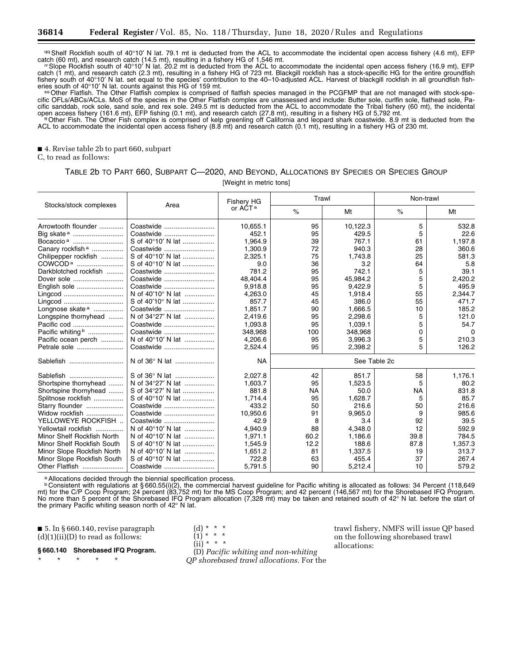qq Shelf Rockfish south of 40°10' N lat. 79.1 mt is deducted from the ACL to accommodate the incidental open access fishery (4.6 mt), EFP catch (60 mt), and research catch (14.5 mt), resulting in a fishery HG of 1,546 mt.<br>The measure of 1,546 mt. resulting in a fishery HG of 1,546 mt.<br>The incidental open access fishery (16.9 mt), EFP<br>The Rockfish south of 4

catch (1 mt), and research catch (2.3 mt), resulting in a fishery HG of 723 mt. Blackgill rockfish has a stock-specific HG for the entire groundfish fishery south of 40°10′ N lat. set equal to the species' contribution to the 40–10-adjusted ACL. Harvest of blackgill rockfish in all groundfish fish-

<sup>ss</sup> Other Flatfish. The Other Flatfish complex is comprised of flatfish species managed in the PCGFMP that are not managed with stock-specific OFLs/ABCs/ACLs. MoS of the species in the Other Flatfish complex are unassessed and include: Butter sole, curlfin sole, flathead sole, Pacific sanddab, rock sole, sand sole, and rex sole. 249.5 mt is deducted from the ACL to accommodate the Tribal fishery (60 mt), the incidental

open access fishery (161.6 mt), EFP fishing (0.1 mt), and research catch (27.8 mt), resulting in a fishery HG of 5,792 mt.<br>"Other Fish. The Other Fish complex is comprised of kelp greenling off California and leopard shark ACL to accommodate the incidental open access fishery (8.8 mt) and research catch (0.1 mt), resulting in a fishery HG of 230 mt.

■ 4. Revise table 2b to part 660, subpart

C, to read as follows:

# TABLE 2b TO PART 660, SUBPART C—2020, AND BEYOND, ALLOCATIONS BY SPECIES OR SPECIES GROUP

[Weight in metric tons]

|                              | Area              | Fishery HG<br>or AĆT <sup>a</sup> | Trawl        |          | Non-trawl |         |  |
|------------------------------|-------------------|-----------------------------------|--------------|----------|-----------|---------|--|
| Stocks/stock complexes       |                   |                                   | $\%$         | Mt       | $\%$      | Mt      |  |
| Arrowtooth flounder          | Coastwide         | 10.655.1                          | 95           | 10,122.3 | 5         | 532.8   |  |
| Big skate <sup>a</sup>       | Coastwide         | 452.1                             | 95           | 429.5    | 5         | 22.6    |  |
| Bocaccio <sup>a</sup>        | S of 40°10' N lat | 1.964.9                           | 39           | 767.1    | 61        | 1,197.8 |  |
| Canary rockfish <sup>a</sup> | Coastwide         | 1,300.9                           | 72           | 940.3    | 28        | 360.6   |  |
| Chilipepper rockfish         | S of 40°10' N lat | 2,325.1                           | 75           | 1,743.8  | 25        | 581.3   |  |
| COWCOD <sup>a</sup>          | S of 40°10' N lat | 9.0                               | 36           | 3.2      | 64        | 5.8     |  |
| Darkblotched rockfish        | Coastwide         | 781.2                             | 95           | 742.1    | 5         | 39.1    |  |
| Dover sole                   | Coastwide         | 48.404.4                          | 95           | 45.984.2 | 5         | 2,420.2 |  |
| English sole                 | Coastwide         | 9.918.8                           | 95           | 9.422.9  | 5         | 495.9   |  |
| Lingcod                      | N of 40'10° N lat | 4,263.0                           | 45           | 1,918.4  | 55        | 2,344.7 |  |
| Lingcod                      | S of 40'10° N lat | 857.7                             | 45           | 386.0    | 55        | 471.7   |  |
| Longnose skate <sup>a</sup>  | Coastwide         | 1,851.7                           | 90           | 1,666.5  | 10        | 185.2   |  |
| Longspine thornyhead         | N of 34°27' N lat | 2,419.6                           | 95           | 2,298.6  | 5         | 121.0   |  |
|                              | Coastwide         | 1.093.8                           | 95           | 1,039.1  | 5         | 54.7    |  |
| Pacific whiting b            | Coastwide         | 348,968                           | 100          | 348,968  | $\Omega$  | 0       |  |
| Pacific ocean perch          | N of 40°10' N lat | 4.206.6                           | 95           | 3,996.3  | 5         | 210.3   |  |
| Petrale sole                 | Coastwide         | 2,524.4                           | 95           | 2,398.2  | 5         | 126.2   |  |
| Sablefish                    | N of 36° N lat    | <b>NA</b>                         | See Table 2c |          |           |         |  |
| Sablefish                    | S of 36° N lat    | 2.027.8                           | 42           | 851.7    | 58        | 1,176.1 |  |
| Shortspine thornyhead        | N of 34°27' N lat | 1,603.7                           | 95           | 1,523.5  | 5         | 80.2    |  |
| Shortspine thornyhead        | S of 34°27' N lat | 881.8                             | <b>NA</b>    | 50.0     | <b>NA</b> | 831.8   |  |
| Splitnose rockfish           | S of 40°10' N lat | 1.714.4                           | 95           | 1,628.7  | 5         | 85.7    |  |
| Starry flounder              | Coastwide         | 433.2                             | 50           | 216.6    | 50        | 216.6   |  |
| Widow rockfish               | Coastwide         | 10,950.6                          | 91           | 9,965.0  | 9         | 985.6   |  |
| YELLOWEYE ROCKFISH           | Coastwide         | 42.9                              | 8            | 3.4      | 92        | 39.5    |  |
| Yellowtail rockfish          | N of 40°10' N lat | 4.940.9                           | 88           | 4.348.0  | 12        | 592.9   |  |
| Minor Shelf Rockfish North   | N of 40°10' N lat | 1,971.1                           | 60.2         | 1,186.6  | 39.8      | 784.5   |  |
| Minor Shelf Rockfish South   | S of 40°10' N lat | 1,545.9                           | 12.2         | 188.6    | 87.8      | 1,357.3 |  |
| Minor Slope Rockfish North   | N of 40°10' N lat | 1,651.2                           | 81           | 1,337.5  | 19        | 313.7   |  |
| Minor Slope Rockfish South   | S of 40°10' N lat | 722.8                             | 63           | 455.4    | 37        | 267.4   |  |
| Other Flatfish               | Coastwide         | 5,791.5                           | 90           | 5,212.4  | 10        | 579.2   |  |

aAllocations decided through the biennial specification process.

**b Consistent with regulations at § 660.55(i)(2), the commercial harvest guideline for Pacific whiting is allocated as follows: 34 Percent (118,649** mt) for the C/P Coop Program; 24 percent (83,752 mt) for the MS Coop Program; and 42 percent (146,567 mt) for the Shorebased IFQ Program. No more than 5 percent of the Shorebased IFQ Program allocation (7,328 mt) may be taken and retained south of 42° N lat. before the start of the primary Pacific whiting season north of 42° N lat.

> (d) \* \* \*  $(1) * * * *$

■ 5. In § 660.140, revise paragraph  $(d)(1)(ii)(D)$  to read as follows:

## **§ 660.140 Shorebased IFQ Program.**

\* \* \* \* \*

 $(ii) * * * *$ (D) *Pacific whiting and non-whiting QP shorebased trawl allocations.* For the trawl fishery, NMFS will issue QP based on the following shorebased trawl allocations: